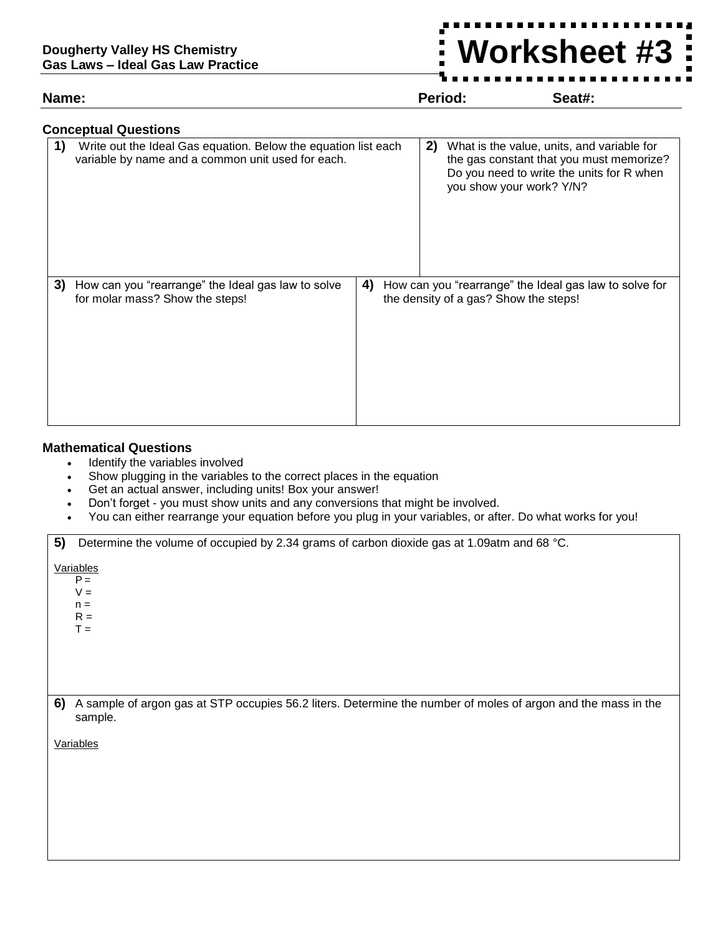## **Worksheet #3**

**Name: Period: Seat#:**

## **Conceptual Questions**

| 1. | Write out the Ideal Gas equation. Below the equation list each<br>variable by name and a common unit used for each. |    | 2) | What is the value, units, and variable for<br>the gas constant that you must memorize?<br>Do you need to write the units for R when<br>you show your work? Y/N? |
|----|---------------------------------------------------------------------------------------------------------------------|----|----|-----------------------------------------------------------------------------------------------------------------------------------------------------------------|
| 3) | How can you "rearrange" the Ideal gas law to solve<br>for molar mass? Show the steps!                               | 4) |    | How can you "rearrange" the Ideal gas law to solve for<br>the density of a gas? Show the steps!                                                                 |

## **Mathematical Questions**

- Identify the variables involved
- Show plugging in the variables to the correct places in the equation
- Get an actual answer, including units! Box your answer!
- Don't forget you must show units and any conversions that might be involved.
- You can either rearrange your equation before you plug in your variables, or after. Do what works for you!

| 5)        | Determine the volume of occupied by 2.34 grams of carbon dioxide gas at 1.09atm and 68 °C.                               |  |  |  |
|-----------|--------------------------------------------------------------------------------------------------------------------------|--|--|--|
| Variables |                                                                                                                          |  |  |  |
|           | $P =$                                                                                                                    |  |  |  |
|           | $V =$                                                                                                                    |  |  |  |
|           | $n =$<br>$R =$                                                                                                           |  |  |  |
|           | $T =$                                                                                                                    |  |  |  |
|           |                                                                                                                          |  |  |  |
|           |                                                                                                                          |  |  |  |
|           |                                                                                                                          |  |  |  |
|           |                                                                                                                          |  |  |  |
|           |                                                                                                                          |  |  |  |
| 6)        | A sample of argon gas at STP occupies 56.2 liters. Determine the number of moles of argon and the mass in the<br>sample. |  |  |  |
|           |                                                                                                                          |  |  |  |
|           | Variables                                                                                                                |  |  |  |
|           |                                                                                                                          |  |  |  |
|           |                                                                                                                          |  |  |  |
|           |                                                                                                                          |  |  |  |
|           |                                                                                                                          |  |  |  |
|           |                                                                                                                          |  |  |  |
|           |                                                                                                                          |  |  |  |
|           |                                                                                                                          |  |  |  |
|           |                                                                                                                          |  |  |  |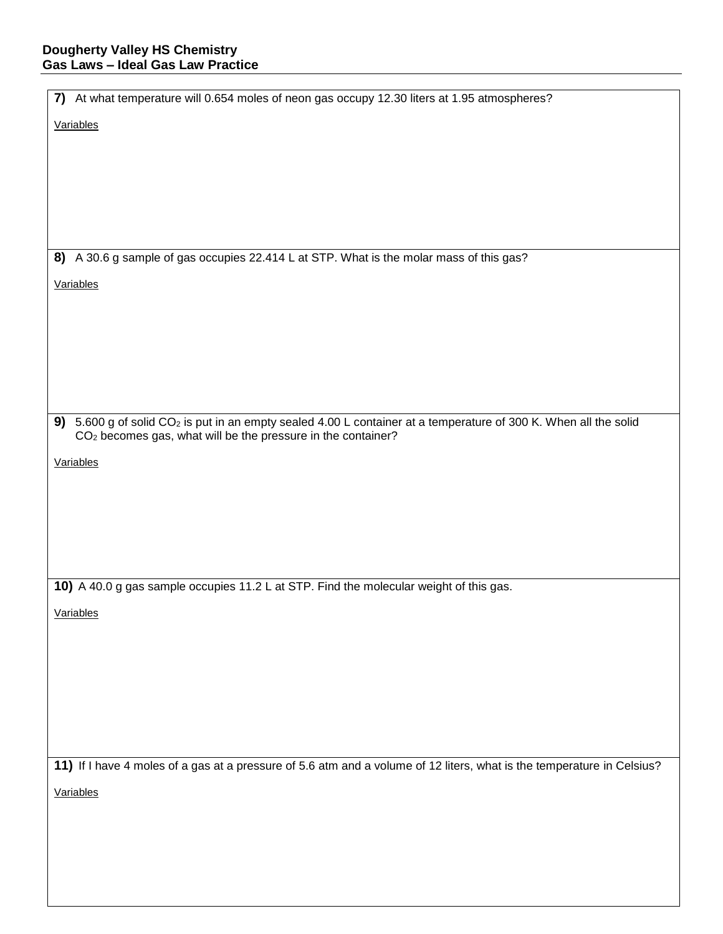| Variables                                                                                                                    |
|------------------------------------------------------------------------------------------------------------------------------|
|                                                                                                                              |
|                                                                                                                              |
|                                                                                                                              |
|                                                                                                                              |
|                                                                                                                              |
|                                                                                                                              |
| 8) A 30.6 g sample of gas occupies 22.414 L at STP. What is the molar mass of this gas?                                      |
|                                                                                                                              |
| Variables                                                                                                                    |
|                                                                                                                              |
|                                                                                                                              |
|                                                                                                                              |
|                                                                                                                              |
|                                                                                                                              |
| 9) 5.600 g of solid CO <sub>2</sub> is put in an empty sealed 4.00 L container at a temperature of 300 K. When all the solid |
| CO <sub>2</sub> becomes gas, what will be the pressure in the container?                                                     |
| Variables                                                                                                                    |
|                                                                                                                              |
|                                                                                                                              |
|                                                                                                                              |
|                                                                                                                              |
|                                                                                                                              |
| 10) A 40.0 g gas sample occupies 11.2 L at STP. Find the molecular weight of this gas.                                       |
|                                                                                                                              |
| Variables                                                                                                                    |
|                                                                                                                              |
|                                                                                                                              |
|                                                                                                                              |
|                                                                                                                              |
|                                                                                                                              |
|                                                                                                                              |
| 11) If I have 4 moles of a gas at a pressure of 5.6 atm and a volume of 12 liters, what is the temperature in Celsius?       |
| Variables                                                                                                                    |
|                                                                                                                              |
|                                                                                                                              |
|                                                                                                                              |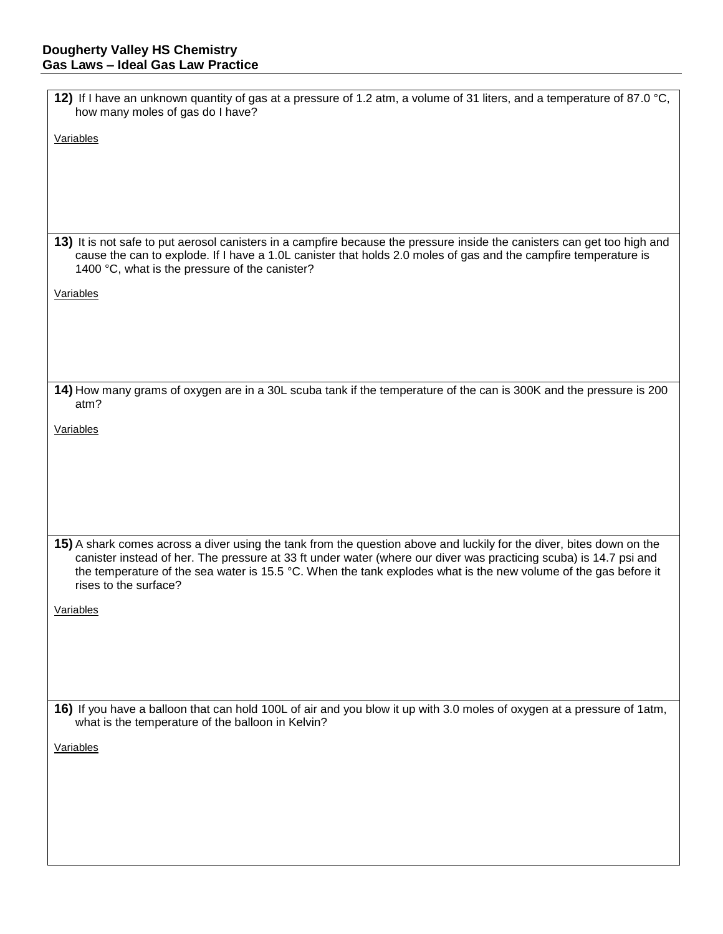| 12) If I have an unknown quantity of gas at a pressure of 1.2 atm, a volume of 31 liters, and a temperature of 87.0 °C,<br>how many moles of gas do I have?                                                                                                                                                                                                                           |
|---------------------------------------------------------------------------------------------------------------------------------------------------------------------------------------------------------------------------------------------------------------------------------------------------------------------------------------------------------------------------------------|
| Variables                                                                                                                                                                                                                                                                                                                                                                             |
|                                                                                                                                                                                                                                                                                                                                                                                       |
|                                                                                                                                                                                                                                                                                                                                                                                       |
|                                                                                                                                                                                                                                                                                                                                                                                       |
| 13) It is not safe to put aerosol canisters in a campfire because the pressure inside the canisters can get too high and                                                                                                                                                                                                                                                              |
| cause the can to explode. If I have a 1.0L canister that holds 2.0 moles of gas and the campfire temperature is<br>1400 °C, what is the pressure of the canister?                                                                                                                                                                                                                     |
| Variables                                                                                                                                                                                                                                                                                                                                                                             |
|                                                                                                                                                                                                                                                                                                                                                                                       |
|                                                                                                                                                                                                                                                                                                                                                                                       |
|                                                                                                                                                                                                                                                                                                                                                                                       |
| 14) How many grams of oxygen are in a 30L scuba tank if the temperature of the can is 300K and the pressure is 200<br>atm?                                                                                                                                                                                                                                                            |
| Variables                                                                                                                                                                                                                                                                                                                                                                             |
|                                                                                                                                                                                                                                                                                                                                                                                       |
|                                                                                                                                                                                                                                                                                                                                                                                       |
|                                                                                                                                                                                                                                                                                                                                                                                       |
|                                                                                                                                                                                                                                                                                                                                                                                       |
| 15) A shark comes across a diver using the tank from the question above and luckily for the diver, bites down on the<br>canister instead of her. The pressure at 33 ft under water (where our diver was practicing scuba) is 14.7 psi and<br>the temperature of the sea water is 15.5 °C. When the tank explodes what is the new volume of the gas before it<br>rises to the surface? |
| Variables                                                                                                                                                                                                                                                                                                                                                                             |
|                                                                                                                                                                                                                                                                                                                                                                                       |
|                                                                                                                                                                                                                                                                                                                                                                                       |
|                                                                                                                                                                                                                                                                                                                                                                                       |
| 16) If you have a balloon that can hold 100L of air and you blow it up with 3.0 moles of oxygen at a pressure of 1atm,<br>what is the temperature of the balloon in Kelvin?                                                                                                                                                                                                           |
| Variables                                                                                                                                                                                                                                                                                                                                                                             |
|                                                                                                                                                                                                                                                                                                                                                                                       |
|                                                                                                                                                                                                                                                                                                                                                                                       |
|                                                                                                                                                                                                                                                                                                                                                                                       |
|                                                                                                                                                                                                                                                                                                                                                                                       |
|                                                                                                                                                                                                                                                                                                                                                                                       |